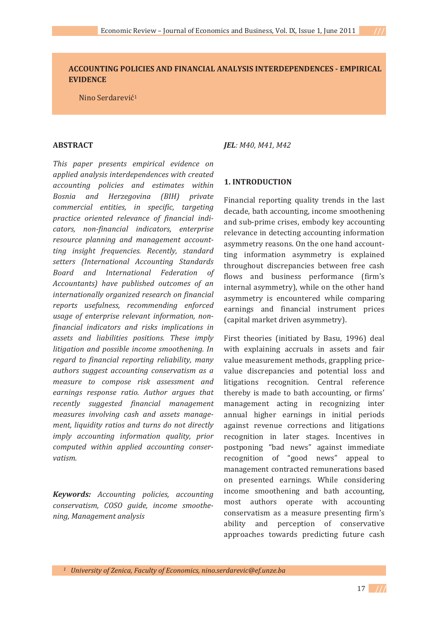## **ACCOUNTING-POLICIES-AND-FINANCIAL-ANALYSIS-INTERDEPENDENCES--EMPIRICAL--EVIDENCE**

Nino Serdarević<sup>1</sup>

#### **ABSTRACT-**

*This- paper- presents- empirical- evidence- on applied-analysis-interdependences-with-created accounting- policies- and- estimates- within- Bosnia- and- Herzegovina- (BIH)- private commercial- entities,- in- specific,- targeting practice- oriented- relevance- of- financial- indi cators,- nonfinancial- indicators,- enterprise resource- planning- and- management- account ting- insight- frequencies.- Recently,- standard setters- (International- Accounting- Standards- Board- and- International- Federation- of-* Accountants) have published outcomes of an*internationally-organized-research-on-financial reports- usefulness,- recommending- enforced usage- of- enterprise- relevant- information,- non financial- indicators- and- risks- implications- in assets- and- liabilities- positions.- These- imply* litigation and possible income smoothening. In *regard- to- financial- reporting- reliability,- many* authors suggest accounting conservatism as a *measure- to- compose- risk- assessment- and* earnings response ratio. Author argues that *recently- suggested- financial- management measures- involving- cash- and- assets- manage ment,-liquidity-ratios-and- turns-do-not-directly imply- accounting- information- quality,- prior computed- within- applied- accounting- conser vatism.-*

*Keywords:- Accounting- policies,- accounting conservatism,- COSO- guide,- income- smoothe ning,-Management-analysis-* *JEL:-M40,-M41,-M42-*

## 1. **INTRODUCTION**

Financial reporting quality trends in the last thancial reporting quality trends in the last<br>decade, bath accounting, income smoothening accade, bath accounting, medine sincounting<br>and sub-prime crises, embody key accounting and sub-prime erises, embody key accounting<br>relevance in detecting accounting information asymmetry reasons. On the one hand accountday information asymmetry is explained throughout discrepancies between free cash throughout discrepancies between free easily<br>flows and business performance (firm's internal asymmetry), while on the other hand internal asymmetry, while on the other hand<br>asymmetry is encountered while comparing asymmetry is encountered wine comparing<br>earnings and financial instrument prices (capital market driven asymmetry).

First theories (initiated by Basu, 1996) deal with explaining accruals in assets and fair with explaining accruate in assets and fail<br>value measurement methods, grappling pricevalue included entirempture, grapping price<br>value discrepancies and potential loss and value discrepancies and potential loss and<br>litigations recognition. Central reference reflective integration. The comparison of the end of the relations the end of the relationships the theorem in the end of the set of the set of the set of the set of the set of the set of the set of the set of the set of t energy is made to back accounting, or ministermanagement acting in recognizing inter<br>annual higher earnings in initial periods annuar inglier earnings in initial periods<br>against revenue corrections and litigations against revenue corrections and highlons<br>recognition in later stages. Incentives in recognition in facer stages. Incentives in postpoining bad news against immediate<br>recognition of "good news" appeal to management contracted remunerations based management contracted remainerations based<br>on presented earnings. While considering on presence earnings. While considering<br>income smoothening and bath accounting, most authors operate with accounting, most additions operate with accounting<br>conservatism as a measure presenting firm's econservatism as a measure presenting mm s<br>ability and perception of conservative approaches towards predicting future cash

<sup>1</sup> University of Zenica, Faculty of Economics, nino.serdarevic@ef.unze.ba

 $\frac{17}{11}$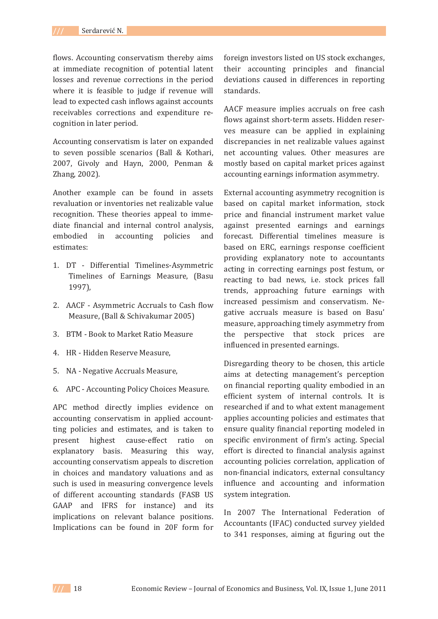flows. Accounting conservatism thereby aims at immediate recognition of potential latent losses and revenue corrections in the period where it is feasible to judge if revenue will lead to expected cash inflows against accounts receivables corrections and expenditure recognition in later period.

Accounting conservatism is later on expanded to seven possible scenarios (Ball & Kothari, 2007, Givoly and Hayn, 2000, Penman & Zhang, 2002).

Another example can be found in assets revaluation or inventories net realizable value recognition. These theories appeal to immediate financial and internal control analysis, embodied  $in$ accounting policies and estimates:

- 1. DT Differential Timelines-Asymmetric Timelines of Earnings Measure, (Basu 1997),
- 2. AACF Asymmetric Accruals to Cash flow Measure, (Ball & Schivakumar 2005)
- 3. BTM Book to Market Ratio Measure
- 4. HR Hidden Reserve Measure,
- 5. NA Negative Accruals Measure,
- 6. APC Accounting Policy Choices Measure.

APC method directly implies evidence on accounting conservatism in applied accountting policies and estimates, and is taken to ratio present highest cause-effect  $\alpha$ explanatory basis. Measuring this way, accounting conservatism appeals to discretion in choices and mandatory valuations and as such is used in measuring convergence levels of different accounting standards (FASB US GAAP and IFRS for instance) and its implications on relevant balance positions. Implications can be found in 20F form for foreign investors listed on US stock exchanges, their accounting principles and financial deviations caused in differences in reporting standards.

AACF measure implies accruals on free cash flows against short-term assets. Hidden reserves measure can be applied in explaining discrepancies in net realizable values against net accounting values. Other measures are mostly based on capital market prices against accounting earnings information asymmetry.

External accounting asymmetry recognition is based on capital market information, stock price and financial instrument market value against presented earnings and earnings forecast. Differential timelines measure is based on ERC, earnings response coefficient providing explanatory note to accountants acting in correcting earnings post festum, or reacting to bad news, i.e. stock prices fall trends, approaching future earnings with increased pessimism and conservatism. Negative accruals measure is based on Basu' measure, approaching timely asymmetry from the perspective that stock prices are influenced in presented earnings.

Disregarding theory to be chosen, this article aims at detecting management's perception on financial reporting quality embodied in an efficient system of internal controls. It is researched if and to what extent management applies accounting policies and estimates that ensure quality financial reporting modeled in specific environment of firm's acting. Special effort is directed to financial analysis against accounting policies correlation, application of non-financial indicators, external consultancy influence and accounting and information system integration.

In 2007 The International Federation of Accountants (IFAC) conducted survey yielded to 341 responses, aiming at figuring out the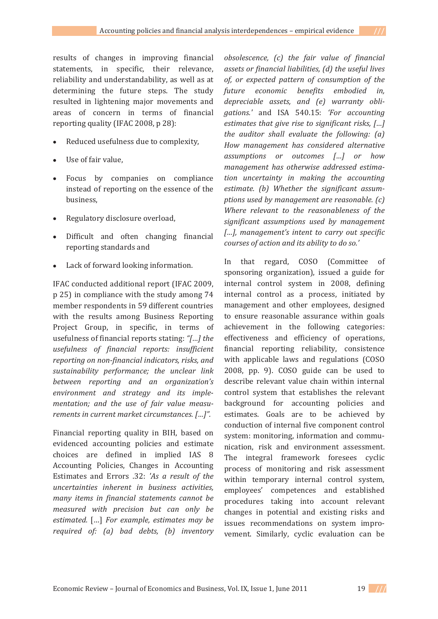results of changes in improving financial statements, in specific, their relevance, statements, in specific, their relevance,<br>reliability and understandability, as well as at determining the future steps. The study determining the rature steps. The study<br>resulted in lightening major movements and areas of concern in terms of financial reporting quality (IFAC 2008,  $p$  28):

- -• Reduced usefulness due to complexity,
- -Use of fair value,
- $-$ Focus by companies on compliance instead of reporting on the essence of the mstead of<br>business,
- Regulatory disclosure overload,
- Difficult and often changing financial  $\mathcal{L}$   $\mathcal{L}$   $\mathcal{L}$   $\mathcal{L}$   $\mathcal{L}$   $\mathcal{L}$   $\mathcal{L}$   $\mathcal{L}$   $\mathcal{L}$   $\mathcal{L}$   $\mathcal{L}$   $\mathcal{L}$   $\mathcal{L}$   $\mathcal{L}$   $\mathcal{L}$   $\mathcal{L}$   $\mathcal{L}$   $\mathcal{L}$   $\mathcal{L}$   $\mathcal{L}$   $\mathcal{L}$   $\mathcal{L}$   $\mathcal{L}$   $\mathcal{L}$   $\mathcal{$ reporting standards and
- Lack of forward looking information.

IFAC conducted additional report (IFAC 2009,  $\frac{265}{3}$  in compliance with the study among 74 p 25) in complaince with the staty among 7.1 member respondents in 59 different countries<br>with the results among Business Reporting with the results allong Basiless Reporting<br>Project Group, in specific, in terms of a roject droup, in specific, in terms of usefulness of financial reports stating: "[...] the *usefulness- of- financial- reports:- insufficient reporting-on-nonfinancial-indicators,-risks,-and* sustainability performance; the unclear link *between- reporting- and- an- organization's environment- and- strategy- and- its- imple mentation;- and- the- use- of- fair- value- measu rements-in-current-market-circumstances.-[…]".*

Financial reporting quality in BIH, based on rmanetar reporting quality in BIT, based on<br>evidenced accounting policies and estimate content to accounting poncies and estimate<br>
choices are defined in implied IAS 8  $\frac{1}{2}$  Accounting Policies, Changes in Accounting Estimates and Errors .32: 'As a result of the *uncertainties- inherent- in- business- activities, many- items- in- financial- statements- cannot- be measured- with- precision- but- can- only- be estimated.-* $\frac{W}{L}$ *For example, estimates may be required- of:- (a)- bad- debts,- (b)- inventory-* *chsolescence,* (*c*) the fair value of financial *assets or financial liabilities, (d) the useful lives of,- or- expected- pattern- of- consumption- of- the future- economic- benefits- embodied- in, depreciable- assets,- and- (e)- warranty- obli gations.'* and ISA 540.15: *'For- accounting estimates that give rise to significant risks, [...] the auditor shall evaluate the following: (a) How- management- has- considered- alternative assumptions- or- outcomes- […]- or- how management- has- otherwise- addressed- estima tion- uncertainty- in- making- the- accounting estimate.- (b)- Whether- the- significant- assum ptions-used-by-management-are-reasonable.-(c)- Where relevant to the reasonableness of the significant- assumptions- used- by- management-* [...], management's intent to carry out specific *courses-of-action-and-its-ability-to-do-so.'*

In that regard, COSO (Committee of m that regard, cose committed of sponsoring organization), issued a galaction<br>internal control system in 2008, defining mernal control system in 2000, deming<br>internal control as a process, initiated by meeting control as a process, initiated by<br>management and other employees, designed management and other employees, designed<br>to ensure reasonable assurance within goals achievement in the following categories: demevement in the following eategories.<br>effectiveness and efficiency of operations, encenveness and emercity of operations,<br>financial reporting reliability, consistence maneidence reporting remaining, consistence with applicable laws and regulations (coso)  $2000$ ,  $p$  $p$ .  $9$ .  $0000$  gance can be used to describe relevant value chain within internal control system that establishes the relevant event of system that establishes the relevant<br>background for accounting policies and background for accounting poncres and<br>estimates. Goals are to be achieved by conduction of internal five component control econduction of meeting two component control system. momening, mormation and communication, risk and environment assessment. meation, i.s. and environment assessment.<br>The integral framework foresees cyclic process of monitoring and risk assessment process of momenting and risk assessment<br>within temporary internal control system, employees' competences and established employees competences and established<br>procedures taking into account relevant procedures taking mediate recount referant<br>changes in potential and existing risks and enanges in potential and existing risks and<br>issues recommendations on system improissues recommendations on system impro-<br>vement. Similarly, cyclic evaluation can be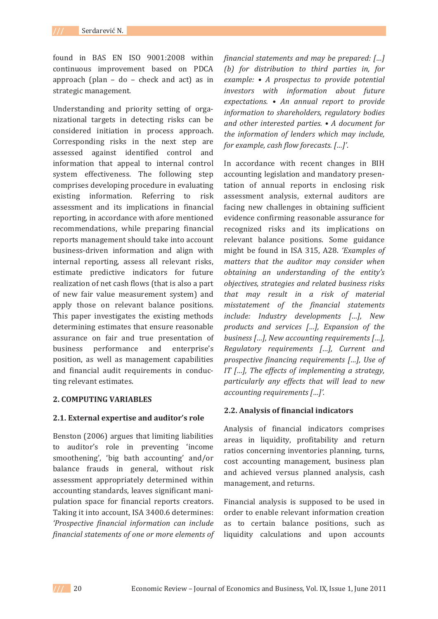found in BAS EN ISO 9001:2008 within continuous improvement based on PDCA approach (plan - do - check and act) as in strategic management.

Understanding and priority setting of organizational targets in detecting risks can be considered initiation in process approach. Corresponding risks in the next step are assessed against identified control and information that appeal to internal control system effectiveness. The following step comprises developing procedure in evaluating existing information. Referring to risk assessment and its implications in financial reporting, in accordance with afore mentioned recommendations, while preparing financial reports management should take into account business-driven information and align with internal reporting, assess all relevant risks, estimate predictive indicators for future realization of net cash flows (that is also a part of new fair value measurement system) and apply those on relevant balance positions. This paper investigates the existing methods determining estimates that ensure reasonable assurance on fair and true presentation of business performance and enterprise's position, as well as management capabilities and financial audit requirements in conducting relevant estimates.

### **2. COMPUTING VARIABLES**

#### 2.1. External expertise and auditor's role

Benston (2006) argues that limiting liabilities to auditor's role in preventing 'income smoothening', 'big bath accounting' and/or balance frauds in general, without risk assessment appropriately determined within accounting standards, leaves significant manipulation space for financial reports creators. Taking it into account, ISA 3400.6 determines: 'Prospective financial information can include financial statements of one or more elements of financial statements and may be prepared: [...] (b) for distribution to third parties in, for example:  $\bullet$  A prospectus to provide potential investors with information about future expectations. • An annual report to provide information to shareholders, regulatory bodies and other interested parties. • A document for the information of lenders which may include, for example, cash flow forecasts. [...]'.

In accordance with recent changes in BIH accounting legislation and mandatory presentation of annual reports in enclosing risk assessment analysis, external auditors are facing new challenges in obtaining sufficient evidence confirming reasonable assurance for recognized risks and its implications on relevant balance positions. Some guidance might be found in ISA 315, A28. 'Examples of matters that the auditor may consider when obtaining an understanding of the entity's objectives, strategies and related business risks that may result in a risk of material misstatement of the financial statements include: Industry developments [...], New products and services [...], Expansion of the business  $[...]$ , New accounting requirements  $[...]$ , Regulatory requirements [...], Current and prospective financing requirements [...], Use of IT  $[...]$ , The effects of implementing a strategy, particularly any effects that will lead to new accounting requirements [...]'.

#### 2.2. Analysis of financial indicators

Analysis of financial indicators comprises areas in liquidity, profitability and return ratios concerning inventories planning, turns, cost accounting management, business plan and achieved versus planned analysis, cash management, and returns.

Financial analysis is supposed to be used in order to enable relevant information creation as to certain balance positions, such as liquidity calculations and upon accounts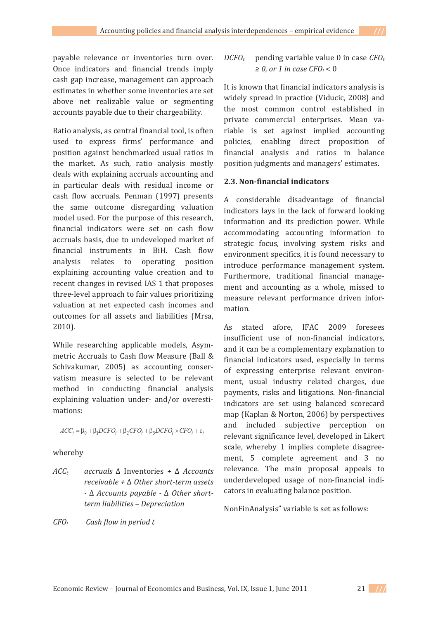payable relevance or inventories turn over. Once indicators and financial trends imply cash gap increase, management can approach estimates in whether some inventories are set above net realizable value or segmenting accounts payable due to their chargeability.

Ratio analysis, as central financial tool, is often used to express firms' performance and position against benchmarked usual ratios in the market. As such, ratio analysis mostly deals with explaining accruals accounting and in particular deals with residual income or cash flow accruals. Penman (1997) presents the same outcome disregarding valuation model used. For the purpose of this research, financial indicators were set on cash flow accruals basis, due to undeveloped market of financial instruments in BiH. Cash flow analysis relates to operating position explaining accounting value creation and to recent changes in revised IAS 1 that proposes three-level approach to fair values prioritizing valuation at net expected cash incomes and outcomes for all assets and liabilities (Mrsa,  $2010$ ).

While researching applicable models, Asymmetric Accruals to Cash flow Measure (Ball & Schivakumar, 2005) as accounting conservatism measure is selected to be relevant method in conducting financial analysis explaining valuation under- and/or overestimations:

$$
ACC_t = \beta_0 + \beta_1 DCFO_t + \beta_2 CFO_t + \beta_3 DCFO_t \times CFO_t + \varepsilon_t
$$

### whereby

 $ACC<sub>t</sub>$ accruals  $\Delta$  Inventories +  $\Delta$  Accounts receivable  $+ \Delta$  Other short-term assets  $- \Delta$  Accounts payable  $- \Delta$  Other shortterm liabilities - Depreciation

 $CFO<sub>r</sub>$ Cash flow in period t

#### $DCFO<sub>r</sub>$ pending variable value 0 in case  $CFO_t$  $\geq 0$ , or 1 in case CFO<sub>t</sub> < 0

It is known that financial indicators analysis is widely spread in practice (Viducic, 2008) and the most common control established in private commercial enterprises. Mean variable is set against implied accounting policies, enabling direct proposition of financial analysis and ratios in balance position judgments and managers' estimates.

## 2.3. Non-financial indicators

A considerable disadvantage of financial indicators lays in the lack of forward looking information and its prediction power. While accommodating accounting information to strategic focus, involving system risks and environment specifics, it is found necessary to introduce performance management system. Furthermore, traditional financial management and accounting as a whole, missed to measure relevant performance driven information.

As stated afore. IFAC 2009 foresees insufficient use of non-financial indicators, and it can be a complementary explanation to financial indicators used, especially in terms of expressing enterprise relevant environment, usual industry related charges, due payments, risks and litigations. Non-financial indicators are set using balanced scorecard map (Kaplan & Norton, 2006) by perspectives and included subjective perception on relevant significance level, developed in Likert scale, whereby 1 implies complete disagreement, 5 complete agreement and 3 no relevance. The main proposal appeals to underdeveloped usage of non-financial indicators in evaluating balance position.

NonFinAnalysis" variable is set as follows:

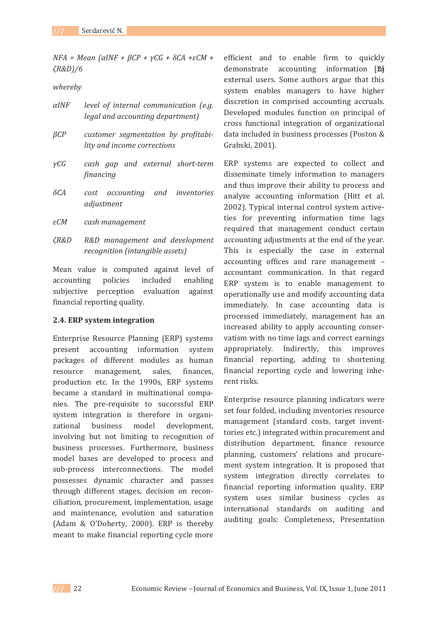*NFA* = *Mean* (*αINF* + *βCP* + *γCG* + *δCA* +εC*M* + *ζR&D)/6* 

and the

*whereby-*

| $\alpha$ INF | level of internal communication (e.g. |
|--------------|---------------------------------------|
|              | legal and accounting department)      |

- $\beta CP$  *customer- segmentation- by- profitabi lity-and-income-corrections-*
- $\gamma CG$  $cash$   $gap$   $and$   $external$   $short-term$ *financing-*
- $\delta$ *CA cost- accounting and inventories adjustment-*
- *CM cash-management-*
- *R&D- R&D- management- and- development recognition-(intangible-assets)-*

Mean value is computed against level of<br>accounting policies included enabling enabling accounting ponctes included enabling<br>subjective perception evaluation against subjective perception c<br>financial reporting quality.

### **2.4. ERP system integration**

Enterprise Resource Planning (ERP) systems present accounting information system present accounting information system<br>packages of different modules as human<br>resource management, sales, finances, finances. production etc. In the 1990s, ERP systems production etc. In the 1990s, EKT systems became a standard in matemational compa-<br>nies. The pre-requisite to successful ERP mes. The pre-requisite to successide the<br>system integration is therefore in organizational business model development, zational basiness model development,<br>involving but not limiting to recognition of mvorving but not minting to recognition of<br>business processes. Furthermore, business business processes. Furthermore, business<br>model bases are developed to process and sub-process interconnections. The model sub process interconnections. The moder<br>possesses dynamic character and passes possesses aynamic enaracter and passes<br>through different stages, decision on reconenough uncreme suges, accision on reconciliation, procurement, implementation, usage emation, procurement, implementation, usuge<br>and maintenance, evolution and saturation (Adam & O'Doherty, 2000). ERP is thereby  $($ ridam  $\alpha$   $\beta$  *bonerty*, *2000y*. *EXT is* dicress meant to make financial reporting cycle more demonstrate accounting information [2d] efficient and to enable firm to quickly demonstrate accounting information [2]<br>external users. Some authors argue that this external disease some dutinors argue that this<br>system enables managers to have higher system enables managers to have ingher discretion in comprised accounting accruals. alserction in comprised accounting accruais.<br>Developed modules function on principal of Beveraged modules ranction on principal or<br>cross functional integration of organizational data included in business processes (Poston & Grabski, 2001).

ERP systems are expected to collect and disseminate timely information to managers and thus improve their ability to process and and thus improve then usinty to process and<br>analyze accounting information (Hitt et al. analyze accounting information (find et al.<br>2002). Typical internal control system activezoozy. Typical internal control system active<br>ties for preventing information time lags required that management conduct certain accounting adjustments at the end of the year.  $\frac{1}{2}$  and  $\frac{1}{2}$  and  $\frac{1}{2}$  and  $\frac{1}{2}$  are the case in external accounting offices and rare management – accountant communication. In that regard ERP system is to enable management to operationally use and modify accounting data immediately. In case accounting data is minediately. In ease accounting data is<br>processed immediately, management has an processed miniculately, management has an<br>increased ability to apply accounting conserwhereased ability to apply accounting conservatism with no time lags and correct earnings  $\frac{1}{3}$  o time rags and correct carings appropriately. marrietly, this improves<br>financial reporting, adding to shortening mancial reporting, adding to shortening<br>financial reporting cycle and lowering inhemaneiar<br>rent risks.

Enterprise resource planning indicators were Enterprise resource planning indicators were<br>set four folded, including inventories resource set four folded, including inventories resource<br>management (standard costs, target inventmanagement (standard costs), target invent tortes etc.) integrated within procurement and<br>distribution department, finance resource alsembation appartment, mance resource<br>planning, customers' relations and procureplanning, easterned relations and procure<br>ment system integration. It is proposed that ment system integration. It is proposed that<br>system integration directly correlates to system integration an eetiy correlates to<br>financial reporting information quality. ERP maneial reporting information quality. EXT<br>system uses similar business cycles as system ases similar basiness cycles as<br>international standards on auditing and auditing goals: Completeness, Presentation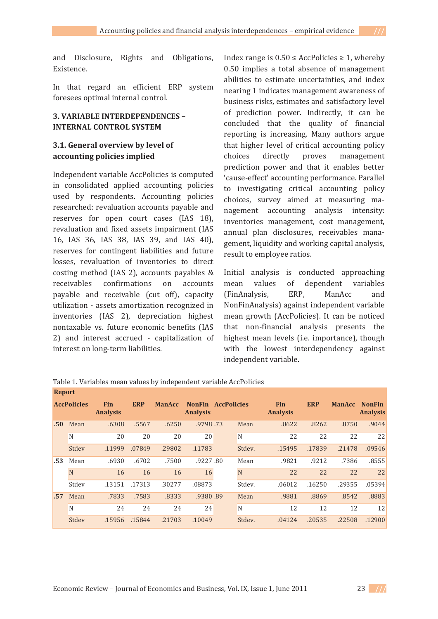and Disclosure, Rights and Obligations, Existence.

In that regard an efficient ERP system foresees optimal internal control.

## **3. VARIABLE INTERDEPENDENCES -INTERNAL CONTROL SYSTEM**

## 3.1. General overview by level of accounting policies implied

Independent variable AccPolicies is computed in consolidated applied accounting policies used by respondents. Accounting policies researched: revaluation accounts payable and reserves for open court cases (IAS 18), revaluation and fixed assets impairment (IAS 16, IAS 36, IAS 38, IAS 39, and IAS 40), reserves for contingent liabilities and future losses, revaluation of inventories to direct costing method (IAS 2), accounts payables & receivables confirmations  $_{0n}$ accounts payable and receivable (cut off), capacity utilization - assets amortization recognized in inventories (IAS 2), depreciation highest nontaxable vs. future economic benefits (IAS 2) and interest accrued - capitalization of interest on long-term liabilities.

Index range is  $0.50 \leq$  AccPolicies  $\geq 1$ , whereby 0.50 implies a total absence of management abilities to estimate uncertainties, and index nearing 1 indicates management awareness of business risks, estimates and satisfactory level of prediction power. Indirectly, it can be concluded that the quality of financial reporting is increasing. Many authors argue that higher level of critical accounting policy choices directly proves management prediction power and that it enables better 'cause-effect' accounting performance. Parallel to investigating critical accounting policy choices, survey aimed at measuring management accounting analysis intensity: inventories management, cost management, annual plan disclosures, receivables management, liquidity and working capital analysis, result to employee ratios.

Initial analysis is conducted approaching mean values of dependent variables ERP. ManAcc (FinAnalysis, and NonFinAnalysis) against independent variable mean growth (AccPolicies). It can be noticed that non-financial analysis presents the highest mean levels (i.e. importance), though with the lowest interdependency against independent variable.

|     | <b>AccPolicies</b> | <b>Fin</b><br><b>Analysis</b> | <b>ERP</b> | <b>ManAcc</b> | <b>NonFin</b><br><b>Analysis</b> | <b>AccPolicies</b> |        | <b>Fin</b><br><b>Analysis</b> | <b>ERP</b> | <b>ManAcc</b> | <b>NonFin</b><br><b>Analysis</b> |
|-----|--------------------|-------------------------------|------------|---------------|----------------------------------|--------------------|--------|-------------------------------|------------|---------------|----------------------------------|
| .50 | Mean               | .6308                         | .5567      | .6250         | .9798.73                         |                    | Mean   | .8622                         | .8262      | .8750         | .9044                            |
|     | N                  | 20                            | 20         | 20            | 20                               |                    | N      | 22                            | 22         | 22            | 22                               |
|     | Stdev              | .11999                        | .07849     | .29802        | .11783                           |                    | Stdev. | .15495                        | .17839     | .21478        | .09546                           |
| .53 | Mean               | .6930                         | .6702      | .7500         | .9227.80                         |                    | Mean   | .9821                         | .9212      | .7386         | .8555                            |
|     | N                  | 16                            | 16         | 16            | 16                               |                    | N      | 22                            | 22         | 22            | 22                               |
|     | Stdev              | .13151                        | .17313     | .30277        | .08873                           |                    | Stdev. | .06012                        | .16250     | .29355        | .05394                           |
| .57 | Mean               | .7833                         | .7583      | .8333         | .9380.89                         |                    | Mean   | .9881                         | .8869      | .8542         | .8883                            |
|     | N                  | 24                            | 24         | 24            | 24                               |                    | N      | 12                            | 12         | 12            | 12                               |
|     | Stdev              | .15956                        | .15844     | .21703        | .10049                           |                    | Stdev. | .04124                        | .20535     | .22508        | .12900                           |

Table 1. Variables mean values by independent variable AccPolicies Report

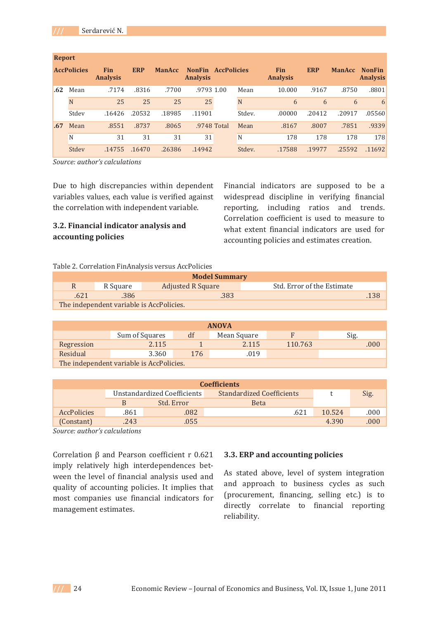| <b>Report</b> |                    |                               |            |               |                                  |                    |        |                               |            |               |                                  |
|---------------|--------------------|-------------------------------|------------|---------------|----------------------------------|--------------------|--------|-------------------------------|------------|---------------|----------------------------------|
|               | <b>AccPolicies</b> | <b>Fin</b><br><b>Analysis</b> | <b>ERP</b> | <b>ManAcc</b> | <b>NonFin</b><br><b>Analysis</b> | <b>AccPolicies</b> |        | <b>Fin</b><br><b>Analysis</b> | <b>ERP</b> | <b>ManAcc</b> | <b>NonFin</b><br><b>Analysis</b> |
| .62           | Mean               | .7174                         | .8316      | .7700         | .9793 1.00                       |                    | Mean   | 10.000                        | .9167      | .8750         | .8801                            |
|               | N                  | 25                            | 25         | 25            |                                  | 25                 | N      | 6                             | 6          | 6             | 6                                |
|               | Stdev              | .16426                        | .20532     | .18985        | .11901                           |                    | Stdev. | .00000                        | .20412     | .20917        | .05560                           |
| .67           | Mean               | .8551                         | .8737      | .8065         |                                  | .9748 Total        | Mean   | .8167                         | .8007      | .7851         | .9339                            |
|               | N                  | 31                            | 31         | 31            | 31                               |                    | N      | 178                           | 178        | 178           | 178                              |
|               | Stdev              | .14755                        | .16470     | .26386        | .14942                           |                    | Stdev. | .17588                        | .19977     | .25592        | .11692                           |

*Source:-author's-calculations-*

Due to high discrepancies within dependent bue to mail discrepancies within dependent<br>variables values, each value is verified against variables values, each value is verified aga<br>the correlation with independent variable.

and the

## **3.2. Financial indicator analysis and accounting-policies-**

Financial indicators are supposed to be a rmanetar marcators are supposed to be a<br>widespread discipline in verifying financial which is the world with the world with the mail of the reporting, including ratios and trends. correlation coefficient is used to measure to what extent financial indicators are used for what extent maneial materiors are ased<br>accounting policies and estimates creation.

## Table 2. Correlation FinAnalysis versus AccPolicies

| <b>Model Summary</b> |                                          |                          |                            |  |  |  |  |  |  |
|----------------------|------------------------------------------|--------------------------|----------------------------|--|--|--|--|--|--|
| R                    | R Square                                 | <b>Adjusted R Square</b> | Std. Error of the Estimate |  |  |  |  |  |  |
| .621                 | .138<br>.386<br>.383                     |                          |                            |  |  |  |  |  |  |
|                      | The independent variable is AccPolicies. |                          |                            |  |  |  |  |  |  |

| <b>ANOVA</b>                     |                                          |    |             |         |      |  |  |  |  |
|----------------------------------|------------------------------------------|----|-------------|---------|------|--|--|--|--|
|                                  | Sum of Squares                           | df | Mean Square | F       | Sig. |  |  |  |  |
| Regression                       | 2.115                                    |    | 2.115       | 110.763 | .000 |  |  |  |  |
| Residual<br>3.360<br>176<br>.019 |                                          |    |             |         |      |  |  |  |  |
|                                  | The independent variable is AccPolicies. |    |             |         |      |  |  |  |  |

| <b>Coefficients</b>                                             |      |            |             |        |      |  |  |  |
|-----------------------------------------------------------------|------|------------|-------------|--------|------|--|--|--|
| Unstandardized Coefficients<br><b>Standardized Coefficients</b> |      |            |             |        | Sig. |  |  |  |
|                                                                 |      | Std. Error | <b>Beta</b> |        |      |  |  |  |
| <b>AccPolicies</b>                                              | .861 | .082       | .621        | 10.524 | .000 |  |  |  |
| (Constant)                                                      | .243 | .055       |             | 4.390  | .000 |  |  |  |

*Source:-author's-calculations-*

 $Correlation \beta$  and Pearson coefficient r 0.621 sorrelation p and rearson coefficient r 0.021 mply relatively lingth interacpendences bet<br>ween the level of financial analysis used and ween the fever of miancial analysis used and<br>quality of accounting policies. It implies that most companies use financial indicators for most companies use in

### **3.3. ERP and accounting policies**

As stated above, level of system integration and approach to business cycles as such (procurement, financing, selling etc.) is to (procurement, maneing, sening etc.) is to<br>directly correlate to financial reporting  $\frac{1}{1!}$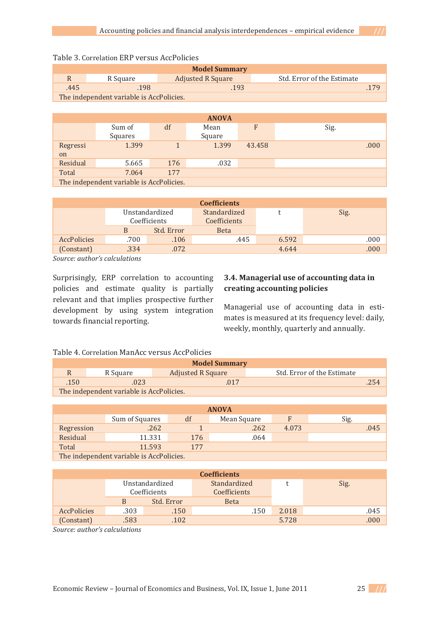| <b>Model Summary</b> |                                          |                          |                            |  |  |  |  |  |  |
|----------------------|------------------------------------------|--------------------------|----------------------------|--|--|--|--|--|--|
|                      | R Square                                 | <b>Adjusted R Square</b> | Std. Error of the Estimate |  |  |  |  |  |  |
| .445                 | .198<br>.193                             |                          |                            |  |  |  |  |  |  |
|                      | The independent variable is AccPolicies. |                          |                            |  |  |  |  |  |  |

# Table 3. Correlation ERP versus AccPolicies

|                       | <b>ANOVA</b>                             |     |                |        |      |  |  |  |  |  |
|-----------------------|------------------------------------------|-----|----------------|--------|------|--|--|--|--|--|
|                       | Sum of<br>Squares                        | df  | Mean<br>Square | F      | Sig. |  |  |  |  |  |
| Regressi<br>on        | 1.399                                    |     | 1.399          | 43.458 | .000 |  |  |  |  |  |
| Residual              | 5.665                                    | 176 | .032           |        |      |  |  |  |  |  |
| Total<br>177<br>7.064 |                                          |     |                |        |      |  |  |  |  |  |
|                       | The independent variable is AccPolicies. |     |                |        |      |  |  |  |  |  |

| <b>Coefficients</b> |      |                                |                                     |       |      |  |  |  |  |
|---------------------|------|--------------------------------|-------------------------------------|-------|------|--|--|--|--|
|                     |      | Unstandardized<br>Coefficients | Standardized<br><b>Coefficients</b> |       | Sig. |  |  |  |  |
|                     | B    | Std. Error                     | <b>Beta</b>                         |       |      |  |  |  |  |
| <b>AccPolicies</b>  | .700 | .106                           | .445                                | 6.592 | .000 |  |  |  |  |
| (Constant)          | .334 | .072                           |                                     | 4.644 | .000 |  |  |  |  |

*Source: author's calculations* 

Surprisingly, ERP correlation to accounting policies and estimate quality is partially poncies and estimate quality is partially<br>relevant and that implies prospective further development by using system integration acveropment by asing sy<br>towards financial reporting.

## 3.4. Managerial use of accounting data in **creating-accounting-policies-**

Managerial use of accounting data in estimates is measured at its frequency level: daily, mates is measured at its requency fever.<br>weekly, monthly, quarterly and annually.

## Table 4. Correlation ManAcc versus AccPolicies

| <b>Model Summary</b>         |                                          |                          |                            |  |  |  |  |  |  |
|------------------------------|------------------------------------------|--------------------------|----------------------------|--|--|--|--|--|--|
|                              | R Square                                 | <b>Adjusted R Square</b> | Std. Error of the Estimate |  |  |  |  |  |  |
| .254<br>.150<br>.023<br>.017 |                                          |                          |                            |  |  |  |  |  |  |
|                              | The independent variable is AccPolicies. |                          |                            |  |  |  |  |  |  |

| <b>ANOVA</b> |                                          |     |             |       |      |      |  |  |  |
|--------------|------------------------------------------|-----|-------------|-------|------|------|--|--|--|
|              | Sum of Squares                           | df  | Mean Square | F     | Sig. |      |  |  |  |
| Regression   | .262                                     |     | .262        | 4.073 |      | .045 |  |  |  |
| Residual     | 11.331                                   | 176 | .064        |       |      |      |  |  |  |
| Total        | 11.593                                   | 177 |             |       |      |      |  |  |  |
|              | The independent variable is AccPolicies. |     |             |       |      |      |  |  |  |

| <b>Coefficients</b> |      |                                |                                     |       |      |  |  |  |
|---------------------|------|--------------------------------|-------------------------------------|-------|------|--|--|--|
|                     |      | Unstandardized<br>Coefficients | Standardized<br><b>Coefficients</b> |       | Sig. |  |  |  |
|                     | B    | Std. Error                     | <b>Beta</b>                         |       |      |  |  |  |
| <b>AccPolicies</b>  | .303 | .150                           | .150                                | 2.018 | .045 |  |  |  |
| (Constant)          | .583 | .102                           |                                     | 5.728 | 000  |  |  |  |

*Source:-author's-calculations-*

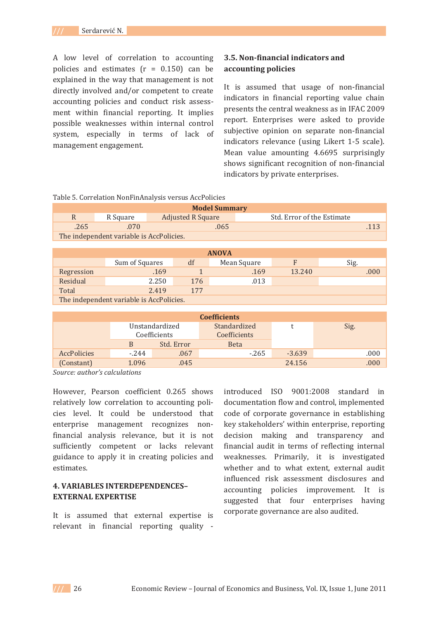A low level of correlation to accounting policies and estimates  $(r = 0.150)$  can be explained in the way that management is not directly involved and/or competent to create accounting policies and conduct risk assessment within financial reporting. It implies possible weaknesses within internal control system, especially in terms of lack of management engagement.

## 3.5. Non-financial indicators and accounting policies

It is assumed that usage of non-financial indicators in financial reporting value chain presents the central weakness as in IFAC 2009 report. Enterprises were asked to provide subjective opinion on separate non-financial indicators relevance (using Likert 1-5 scale). Mean value amounting 4.6695 surprisingly shows significant recognition of non-financial indicators by private enterprises.

| Table 5. Correlation NonFinAnalysis versus AccPolicies |  |  |  |  |
|--------------------------------------------------------|--|--|--|--|
|--------------------------------------------------------|--|--|--|--|

| <b>Model Summary</b>                     |          |                          |                            |  |  |  |
|------------------------------------------|----------|--------------------------|----------------------------|--|--|--|
| R                                        | R Square | <b>Adjusted R Square</b> | Std. Error of the Estimate |  |  |  |
| .265                                     | .070     | .065                     |                            |  |  |  |
| The independent variable is AccPolicies. |          |                          |                            |  |  |  |

| <b>ANOVA</b>                             |                |     |             |        |      |
|------------------------------------------|----------------|-----|-------------|--------|------|
|                                          | Sum of Squares | df  | Mean Square |        | Sig. |
| Regression                               | .169           |     | .169        | 13.240 | .000 |
| Residual                                 | 2.250          | 176 | .013        |        |      |
| Total                                    | 2.419          | 177 |             |        |      |
| The independent variable is AccPolicies. |                |     |             |        |      |

| <b>Coefficients</b> |                                |            |                                     |          |      |  |
|---------------------|--------------------------------|------------|-------------------------------------|----------|------|--|
|                     | Unstandardized<br>Coefficients |            | Standardized<br><b>Coefficients</b> |          | Sig. |  |
|                     | B                              | Std. Error | <b>Beta</b>                         |          |      |  |
| <b>AccPolicies</b>  | $-244$                         | .067       | $-265$                              | $-3.639$ | .000 |  |
| (Constant)          | 1.096                          | .045       |                                     | 24.156   | .000 |  |

Source: author's calculations

However, Pearson coefficient 0.265 shows relatively low correlation to accounting policies level. It could be understood that enterprise management recognizes nonfinancial analysis relevance, but it is not sufficiently competent or lacks relevant guidance to apply it in creating policies and estimates.

## **4. VARIABLES INTERDEPENDENCES-EXTERNAL EXPERTISE**

It is assumed that external expertise is relevant in financial reporting quality - introduced ISO 9001:2008 standard in documentation flow and control, implemented code of corporate governance in establishing key stakeholders' within enterprise, reporting decision making and transparency and financial audit in terms of reflecting internal weaknesses. Primarily, it is investigated whether and to what extent, external audit influenced risk assessment disclosures and accounting policies improvement. It is suggested that four enterprises having corporate governance are also audited.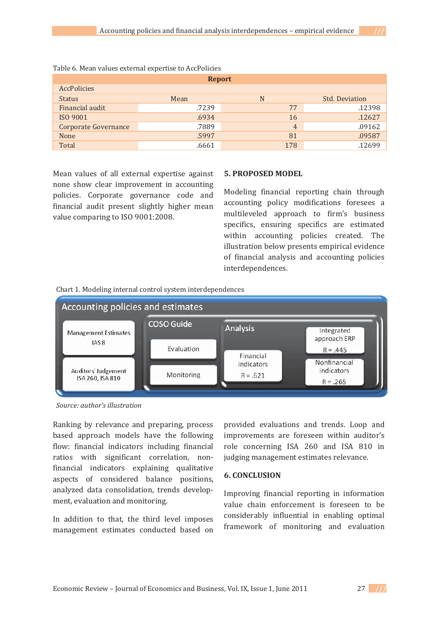| <b>Report</b>               |       |     |                       |  |  |
|-----------------------------|-------|-----|-----------------------|--|--|
| <b>AccPolicies</b>          |       |     |                       |  |  |
| <b>Status</b>               | Mean  | N   | <b>Std. Deviation</b> |  |  |
| Financial audit             | .7239 | 77  | .12398                |  |  |
| ISO 9001                    | .6934 | 16  | .12627                |  |  |
| <b>Corporate Governance</b> | .7889 | 4   | .09162                |  |  |
| None                        | .5997 | 81  | .09587                |  |  |
| Total                       | .6661 | 178 | .12699                |  |  |

Table 6. Mean values external expertise to AccPolicies

Mean values of all external expertise against none show clear improvement in accounting policies. Corporate governance code and financial audit present slightly higher mean value comparing to ISO 9001:2008.

## **5. PROPOSED MODEL**

Modeling financial reporting chain through accounting policy modifications foresees a multileveled approach to firm's business specifics, ensuring specifics are estimated within accounting policies created. The illustration below presents empirical evidence of financial analysis and accounting policies interdependences.





Source: author's illustration

Ranking by relevance and preparing, process based approach models have the following flow: financial indicators including financial ratios with significant correlation, nonfinancial indicators explaining qualitative aspects of considered balance positions, analyzed data consolidation, trends development, evaluation and monitoring.

In addition to that, the third level imposes management estimates conducted based on provided evaluations and trends. Loop and improvements are foreseen within auditor's role concerning ISA 260 and ISA 810 in judging management estimates relevance.

## **6. CONCLUSION**

Improving financial reporting in information value chain enforcement is foreseen to be considerably influential in enabling optimal framework of monitoring and evaluation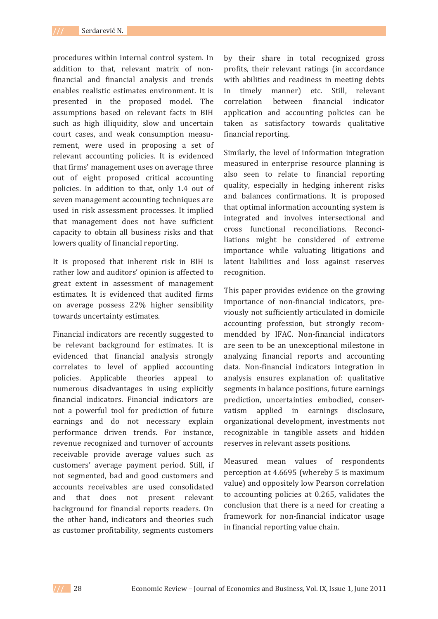procedures within internal control system. In addition to that, relevant matrix of nonfinancial and financial analysis and trends enables realistic estimates environment. It is presented in the proposed model. The assumptions based on relevant facts in BIH such as high illiquidity, slow and uncertain court cases, and weak consumption measurement, were used in proposing a set of relevant accounting policies. It is evidenced that firms' management uses on average three out of eight proposed critical accounting policies. In addition to that, only 1.4 out of seven management accounting techniques are used in risk assessment processes. It implied that management does not have sufficient capacity to obtain all business risks and that lowers quality of financial reporting.

It is proposed that inherent risk in BIH is rather low and auditors' opinion is affected to great extent in assessment of management estimates. It is evidenced that audited firms on average possess 22% higher sensibility towards uncertainty estimates.

Financial indicators are recently suggested to be relevant background for estimates. It is evidenced that financial analysis strongly correlates to level of applied accounting policies. Applicable theories appeal to numerous disadvantages in using explicitly financial indicators. Financial indicators are not a powerful tool for prediction of future earnings and do not necessary explain performance driven trends. For instance, revenue recognized and turnover of accounts receivable provide average values such as customers' average payment period. Still, if not segmented, bad and good customers and accounts receivables are used consolidated and that does not present relevant background for financial reports readers. On the other hand, indicators and theories such as customer profitability, segments customers

by their share in total recognized gross profits, their relevant ratings (in accordance with abilities and readiness in meeting debts in timely manner) etc. Still. relevant between financial indicator correlation application and accounting policies can be taken as satisfactory towards qualitative financial reporting.

Similarly, the level of information integration measured in enterprise resource planning is also seen to relate to financial reporting quality, especially in hedging inherent risks and balances confirmations. It is proposed that optimal information accounting system is integrated and involves intersectional and cross functional reconciliations. Reconciliations might be considered of extreme importance while valuating litigations and latent liabilities and loss against reserves recognition.

This paper provides evidence on the growing importance of non-financial indicators, previously not sufficiently articulated in domicile accounting profession, but strongly recommendded by IFAC. Non-financial indicators are seen to be an unexceptional milestone in analyzing financial reports and accounting data. Non-financial indicators integration in analysis ensures explanation of: qualitative segments in balance positions, future earnings prediction, uncertainties embodied, conservatism applied in earnings disclosure, organizational development, investments not recognizable in tangible assets and hidden reserves in relevant assets positions.

Measured mean values of respondents perception at 4.6695 (whereby 5 is maximum value) and oppositely low Pearson correlation to accounting policies at 0.265, validates the conclusion that there is a need for creating a framework for non-financial indicator usage in financial reporting value chain.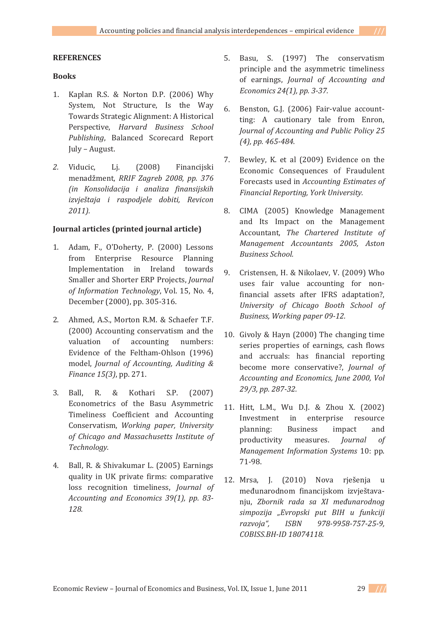## **REFERENCES**

## **Books**

- 1. Kaplan R.S. & Norton D.P. (2006) Why System, Not Structure, Is the Way Towards Strategic Alignment: A Historical Perspective, Harvard Business School Publishing, Balanced Scorecard Report July - August.
- 2. Viducic. Li.  $(2008)$ Financijski menadžment, RRIF Zagreb 2008, pp. 376 (in Konsolidacija i analiza finansijskih izvještaja i raspodjele dobiti, Revicon  $2011$ ).

## Journal articles (printed journal article)

- 1. Adam, F., O'Doherty, P. (2000) Lessons from Enterprise Resource Planning Implementation in Ireland towards Smaller and Shorter ERP Projects, Journal of Information Technology, Vol. 15, No. 4, December (2000), pp. 305-316.
- 2. Ahmed, A.S., Morton R.M. & Schaefer T.F. (2000) Accounting conservatism and the valuation of accounting numbers: Evidence of the Feltham-Ohlson (1996) model, Journal of Accounting, Auditing & Finance 15(3), pp. 271.
- $3.$  Ball. R. & Kothari S.P.  $(2007)$ Econometrics of the Basu Asymmetric Timeliness Coefficient and Accounting Conservatism, Working paper, University of Chicago and Massachusetts Institute of Technoloav.
- 4. Ball, R. & Shivakumar L. (2005) Earnings quality in UK private firms: comparative loss recognition timeliness, Journal of Accounting and Economics 39(1), pp. 83-128.
- 5. Basu, S. (1997) The conservatism principle and the asymmetric timeliness of earnings, Journal of Accounting and Economics 24(1), pp. 3-37.
- Benston, G.J. (2006) Fair-value account-6. ting: A cautionary tale from Enron, Journal of Accounting and Public Policy 25  $(4)$ , pp. 465-484.
- 7. Bewley, K. et al (2009) Evidence on the Economic Consequences of Fraudulent Forecasts used in Accounting Estimates of Financial Reporting, York University.
- 8. CIMA (2005) Knowledge Management and Its Impact on the Management Accountant, The Chartered Institute of Management Accountants 2005, Aston **Business School.**
- 9. Cristensen, H. & Nikolaev, V. (2009) Who uses fair value accounting for nonfinancial assets after IFRS adaptation?, University of Chicago Booth School of Business, Working paper 09-12.
- 10. Givoly & Hayn (2000) The changing time series properties of earnings, cash flows and accruals: has financial reporting become more conservative?, Journal of Accounting and Economics, June 2000, Vol 29/3, pp. 287-32.
- 11. Hitt, L.M., Wu D.J. & Zhou X. (2002) Investment in enterprise resource planning: **Business** impact and productivity measures. *Journal*  $\sigma$ f Management Information Systems 10: pp. 71-98.
- 12. Mrsa, J. (2010) Nova rješenja u međunarodnom financijskom izvještavanju, Zbornik rada sa XI međunarodnog simpozija "Evropski put BIH u funkciji razvoja", **ISBN** 978-9958-757-25-9, COBISS.BH-ID 18074118.